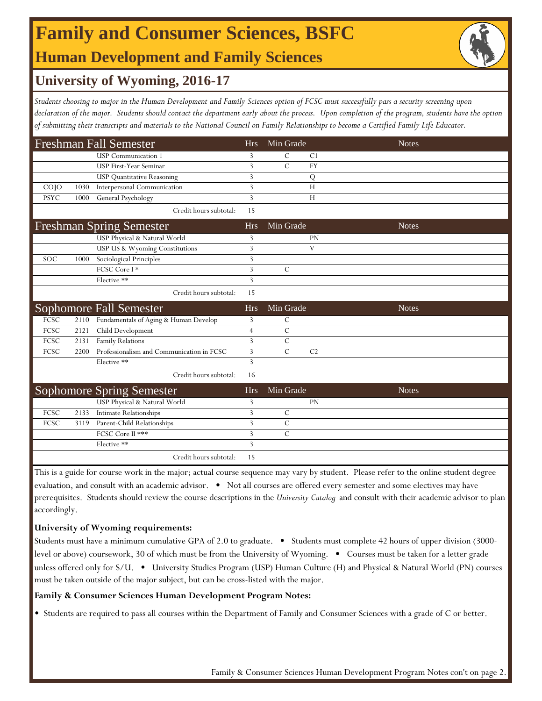## **Family and Consumer Sciences, BSFC Human Development and Family Sciences**



## **University of Wyoming, 2016-17**

*Students choosing to major in the Human Development and Family Sciences option of FCSC must successfully pass a security screening upon*  declaration of the major. Students should contact the department early about the process. Upon completion of the program, students have the option *of submitting their transcripts and materials to the National Council on Family Relationships to become a Certified Family Life Educator.* 

|             |      | <b>Freshman Fall Semester</b>             | <b>Hrs</b>     | Min Grade      |                | <b>Notes</b> |
|-------------|------|-------------------------------------------|----------------|----------------|----------------|--------------|
|             |      | <b>USP</b> Communication 1                | 3              | C              | C <sub>1</sub> |              |
|             |      | <b>USP First-Year Seminar</b>             | 3              | $\mathcal{C}$  | <b>FY</b>      |              |
|             |      | <b>USP Quantitative Reasoning</b>         | 3              |                | Q              |              |
| $CO$ $JO$   | 1030 | Interpersonal Communication               | 3              |                | H              |              |
| <b>PSYC</b> | 1000 | General Psychology                        | 3              |                | H              |              |
|             |      | Credit hours subtotal:                    | 15             |                |                |              |
|             |      | <b>Freshman Spring Semester</b>           | <b>Hrs</b>     | Min Grade      |                | <b>Notes</b> |
|             |      | USP Physical & Natural World              | 3              |                | <b>PN</b>      |              |
|             |      | USP US & Wyoming Constitutions            | 3              |                | V              |              |
| <b>SOC</b>  | 1000 | Sociological Principles                   | 3              |                |                |              |
|             |      | FCSC Core I*                              | 3              | $\overline{C}$ |                |              |
|             |      | Elective **                               | 3              |                |                |              |
|             |      | Credit hours subtotal:                    | 15             |                |                |              |
|             |      |                                           |                |                |                |              |
|             |      | Sophomore Fall Semester                   | <b>Hrs</b>     | Min Grade      |                | <b>Notes</b> |
| FCSC        | 2110 | Fundamentals of Aging & Human Develop     | 3              | $\mathcal{C}$  |                |              |
| FCSC        | 2121 | Child Development                         | $\overline{4}$ | $\mathcal{C}$  |                |              |
| FCSC        | 2131 | Family Relations                          | 3              | $\mathcal{C}$  |                |              |
| FCSC        | 2200 | Professionalism and Communication in FCSC | 3              | $\overline{C}$ | C <sub>2</sub> |              |
|             |      | Elective **                               | 3              |                |                |              |
|             |      | Credit hours subtotal:                    | 16             |                |                |              |
|             |      | <b>Sophomore Spring Semester</b>          | <b>Hrs</b>     | Min Grade      |                | <b>Notes</b> |
|             |      | USP Physical & Natural World              | 3              |                | <b>PN</b>      |              |
| FCSC        | 2133 | <b>Intimate Relationships</b>             | 3              | $\mathcal{C}$  |                |              |
| FCSC        | 3119 | Parent-Child Relationships                | 3              | $\mathcal{C}$  |                |              |
|             |      | FCSC Core II ***                          | 3              | $\overline{C}$ |                |              |
|             |      | Elective **                               | 3              |                |                |              |

This is a guide for course work in the major; actual course sequence may vary by student. Please refer to the online student degree evaluation, and consult with an academic advisor. • Not all courses are offered every semester and some electives may have prerequisites. Students should review the course descriptions in the *University Catalog* and consult with their academic advisor to plan accordingly.

### **University of Wyoming requirements:**

Students must have a minimum cumulative GPA of 2.0 to graduate.  $\bullet$  Students must complete 42 hours of upper division (3000level or above) coursework, 30 of which must be from the University of Wyoming. • Courses must be taken for a letter grade unless offered only for S/U. • University Studies Program (USP) Human Culture (H) and Physical & Natural World (PN) courses must be taken outside of the major subject, but can be cross-listed with the major.

### **Family & Consumer Sciences Human Development Program Notes:**

• Students are required to pass all courses within the Department of Family and Consumer Sciences with a grade of C or better.